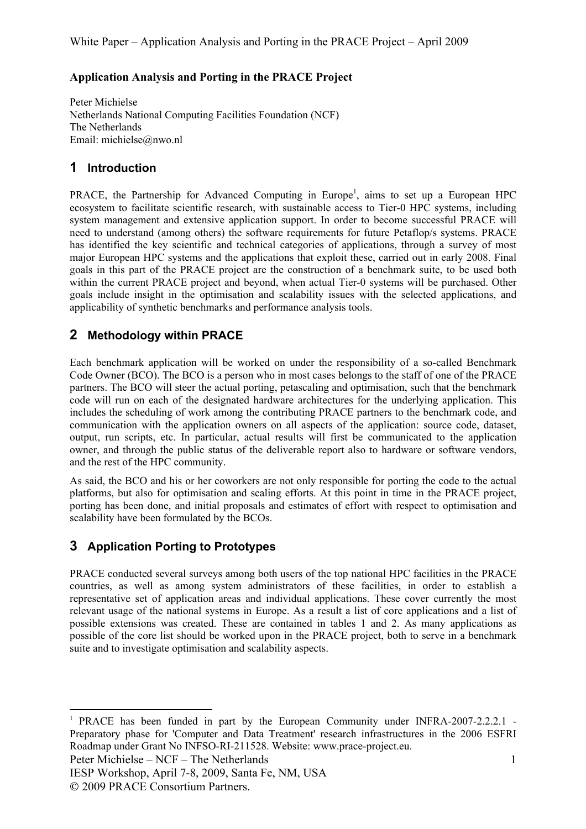#### **Application Analysis and Porting in the PRACE Project**

Peter Michielse Netherlands National Computing Facilities Foundation (NCF) The Netherlands Email: michielse@nwo.nl

#### **1 Introduction**

PRACE, the Partnership for Advanced Computing in Europe<sup>1</sup>, aims to set up a European HPC ecosystem to facilitate scientific research, with sustainable access to Tier-0 HPC systems, including system management and extensive application support. In order to become successful PRACE will need to understand (among others) the software requirements for future Petaflop/s systems. PRACE has identified the key scientific and technical categories of applications, through a survey of most major European HPC systems and the applications that exploit these, carried out in early 2008. Final goals in this part of the PRACE project are the construction of a benchmark suite, to be used both within the current PRACE project and beyond, when actual Tier-0 systems will be purchased. Other goals include insight in the optimisation and scalability issues with the selected applications, and applicability of synthetic benchmarks and performance analysis tools.

## **2 Methodology within PRACE**

Each benchmark application will be worked on under the responsibility of a so-called Benchmark Code Owner (BCO). The BCO is a person who in most cases belongs to the staff of one of the PRACE partners. The BCO will steer the actual porting, petascaling and optimisation, such that the benchmark code will run on each of the designated hardware architectures for the underlying application. This includes the scheduling of work among the contributing PRACE partners to the benchmark code, and communication with the application owners on all aspects of the application: source code, dataset, output, run scripts, etc. In particular, actual results will first be communicated to the application owner, and through the public status of the deliverable report also to hardware or software vendors, and the rest of the HPC community.

As said, the BCO and his or her coworkers are not only responsible for porting the code to the actual platforms, but also for optimisation and scaling efforts. At this point in time in the PRACE project, porting has been done, and initial proposals and estimates of effort with respect to optimisation and scalability have been formulated by the BCOs.

### **3 Application Porting to Prototypes**

PRACE conducted several surveys among both users of the top national HPC facilities in the PRACE countries, as well as among system administrators of these facilities, in order to establish a representative set of application areas and individual applications. These cover currently the most relevant usage of the national systems in Europe. As a result a list of core applications and a list of possible extensions was created. These are contained in tables 1 and 2. As many applications as possible of the core list should be worked upon in the PRACE project, both to serve in a benchmark suite and to investigate optimisation and scalability aspects.

Peter Michielse – NCF – The Netherlands

IESP Workshop, April 7-8, 2009, Santa Fe, NM, USA 2009 PRACE Consortium Partners.

<sup>&</sup>lt;sup>1</sup> PRACE has been funded in part by the European Community under INFRA-2007-2.2.2.1 -Preparatory phase for 'Computer and Data Treatment' research infrastructures in the 2006 ESFRI Roadmap under Grant No INFSO-RI-211528. Website: www.prace-project.eu.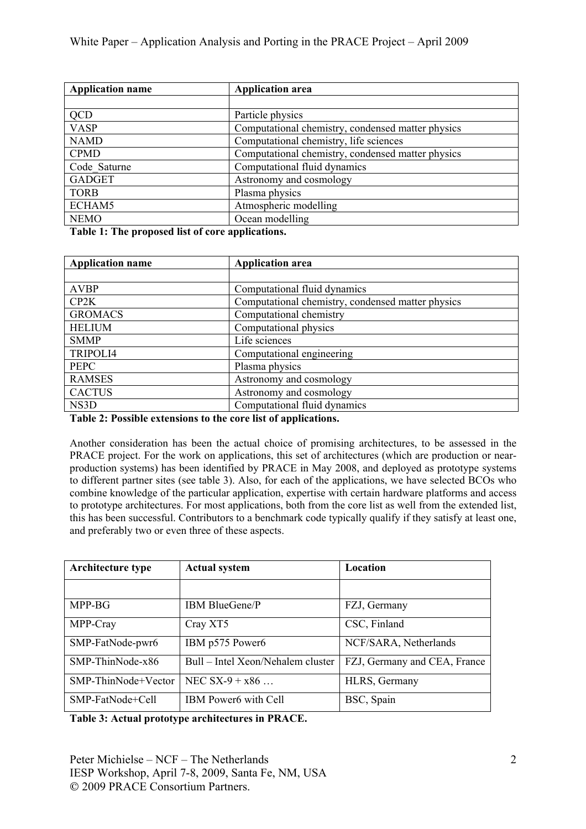| <b>Application name</b> | <b>Application area</b>                           |  |  |
|-------------------------|---------------------------------------------------|--|--|
|                         |                                                   |  |  |
| QCD                     | Particle physics                                  |  |  |
| <b>VASP</b>             | Computational chemistry, condensed matter physics |  |  |
| <b>NAMD</b>             | Computational chemistry, life sciences            |  |  |
| <b>CPMD</b>             | Computational chemistry, condensed matter physics |  |  |
| Code Saturne            | Computational fluid dynamics                      |  |  |
| <b>GADGET</b>           | Astronomy and cosmology                           |  |  |
| <b>TORB</b>             | Plasma physics                                    |  |  |
| ECHAM5                  | Atmospheric modelling                             |  |  |
| <b>NEMO</b>             | Ocean modelling                                   |  |  |

**Table 1: The proposed list of core applications.**

| <b>Application name</b> | <b>Application area</b>                           |
|-------------------------|---------------------------------------------------|
|                         |                                                   |
| <b>AVBP</b>             | Computational fluid dynamics                      |
| CP2K                    | Computational chemistry, condensed matter physics |
| <b>GROMACS</b>          | Computational chemistry                           |
| <b>HELIUM</b>           | Computational physics                             |
| <b>SMMP</b>             | Life sciences                                     |
| TRIPOLI4                | Computational engineering                         |
| <b>PEPC</b>             | Plasma physics                                    |
| <b>RAMSES</b>           | Astronomy and cosmology                           |
| <b>CACTUS</b>           | Astronomy and cosmology                           |
| NS3D                    | Computational fluid dynamics                      |

**Table 2: Possible extensions to the core list of applications.**

Another consideration has been the actual choice of promising architectures, to be assessed in the PRACE project. For the work on applications, this set of architectures (which are production or nearproduction systems) has been identified by PRACE in May 2008, and deployed as prototype systems to different partner sites (see table 3). Also, for each of the applications, we have selected BCOs who combine knowledge of the particular application, expertise with certain hardware platforms and access to prototype architectures. For most applications, both from the core list as well from the extended list, this has been successful. Contributors to a benchmark code typically qualify if they satisfy at least one, and preferably two or even three of these aspects.

| <b>Architecture type</b> | <b>Actual system</b>              | Location                     |  |
|--------------------------|-----------------------------------|------------------------------|--|
|                          |                                   |                              |  |
| MPP-BG                   | <b>IBM BlueGene/P</b>             | FZJ, Germany                 |  |
| MPP-Cray                 | Cray XT5                          | CSC, Finland                 |  |
| SMP-FatNode-pwr6         | IBM p575 Power6                   | NCF/SARA, Netherlands        |  |
| SMP-ThinNode-x86         | Bull – Intel Xeon/Nehalem cluster | FZJ, Germany and CEA, France |  |
| SMP-ThinNode+Vector      | NEC $SX-9 + x86$                  | HLRS, Germany                |  |
| SMP-FatNode+Cell         | IBM Power6 with Cell              | BSC, Spain                   |  |

**Table 3: Actual prototype architectures in PRACE.**

Peter Michielse – NCF – The Netherlands IESP Workshop, April 7-8, 2009, Santa Fe, NM, USA 2009 PRACE Consortium Partners.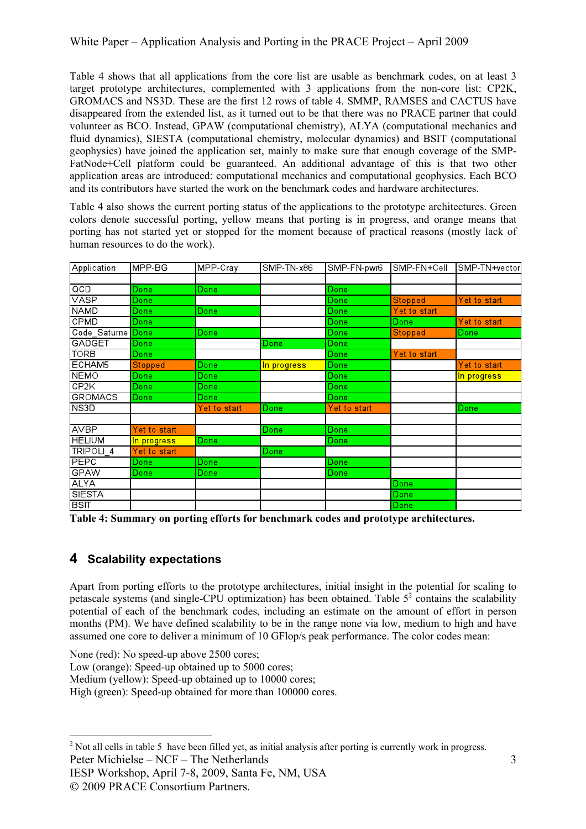Table 4 shows that all applications from the core list are usable as benchmark codes, on at least 3 target prototype architectures, complemented with 3 applications from the non-core list: CP2K, GROMACS and NS3D. These are the first 12 rows of table 4. SMMP, RAMSES and CACTUS have disappeared from the extended list, as it turned out to be that there was no PRACE partner that could volunteer as BCO. Instead, GPAW (computational chemistry), ALYA (computational mechanics and fluid dynamics), SIESTA (computational chemistry, molecular dynamics) and BSIT (computational geophysics) have joined the application set, mainly to make sure that enough coverage of the SMP-FatNode+Cell platform could be guaranteed. An additional advantage of this is that two other application areas are introduced: computational mechanics and computational geophysics. Each BCO and its contributors have started the work on the benchmark codes and hardware architectures.

Table 4 also shows the current porting status of the applications to the prototype architectures. Green colors denote successful porting, yellow means that porting is in progress, and orange means that porting has not started yet or stopped for the moment because of practical reasons (mostly lack of human resources to do the work).

| Application                    | MPP-BG         | MPP-Cray     | SMP-TN-x86  | SMP-FN-pwr6  | SMP-FN+Cell    | SMP-TN+vector |
|--------------------------------|----------------|--------------|-------------|--------------|----------------|---------------|
|                                |                |              |             |              |                |               |
| <b>QCD</b>                     | Done           | Done         |             | Done         |                |               |
| <b>VASP</b>                    | Done           |              |             | Done         | <b>Stopped</b> | Yet to start  |
| <b>NAMD</b>                    | Done           | Done         |             | Done         | Yet to start   |               |
| <b>CPMD</b>                    | Done           |              |             | Done         | Done           | Yet to start  |
| Code Saturne <mark>Done</mark> |                | Done         |             | Done         | <b>Stopped</b> | Done          |
| <b>GADGET</b>                  | Done           |              | Done        | Done         |                |               |
| <b>TORB</b>                    | Done           |              |             | Done         | Yet to start   |               |
| ECHAM5                         | <b>Stopped</b> | Done         | In progress | <b>Done</b>  |                | Yet to start  |
| <b>NEMO</b>                    | Done           | Done         |             | Done         |                | In progress   |
| CP2K                           | Done           | <b>Done</b>  |             | Done         |                |               |
| <b>GROMACS</b>                 | Done           | Done         |             | Done         |                |               |
| NS3D                           |                | Yet to start | <b>Done</b> | Yet to start |                | Done          |
|                                |                |              |             |              |                |               |
| <b>AVBP</b>                    | Yet to start   |              | Done        | Done         |                |               |
| <b>HELIUM</b>                  | In progress    | <b>Done</b>  |             | Done         |                |               |
| TRIPOLI 4                      | Yet to start   |              | Done        |              |                |               |
| PEPC                           | Done           | Done         |             | Done         |                |               |
| <b>GPAW</b>                    | Done           | <b>Done</b>  |             | Done         |                |               |
| <b>ALYA</b>                    |                |              |             |              | Done           |               |
| SIESTA                         |                |              |             |              | <b>Done</b>    |               |
| <b>BSIT</b>                    |                |              |             |              | Done           |               |

**Table 4: Summary on porting efforts for benchmark codes and prototype architectures.**

# **4 Scalability expectations**

Apart from porting efforts to the prototype architectures, initial insight in the potential for scaling to petascale systems (and single-CPU optimization) has been obtained. Table  $5<sup>2</sup>$  contains the scalability potential of each of the benchmark codes, including an estimate on the amount of effort in person months (PM). We have defined scalability to be in the range none via low, medium to high and have assumed one core to deliver a minimum of 10 GFlop/s peak performance. The color codes mean:

None (red): No speed-up above 2500 cores;

Low (orange): Speed-up obtained up to 5000 cores;

Medium (yellow): Speed-up obtained up to 10000 cores;

High (green): Speed-up obtained for more than 100000 cores.

Peter Michielse – NCF – The Netherlands

IESP Workshop, April 7-8, 2009, Santa Fe, NM, USA

<sup>&</sup>lt;sup>2</sup> Not all cells in table 5 have been filled yet, as initial analysis after porting is currently work in progress.

 <sup>2009</sup> PRACE Consortium Partners.